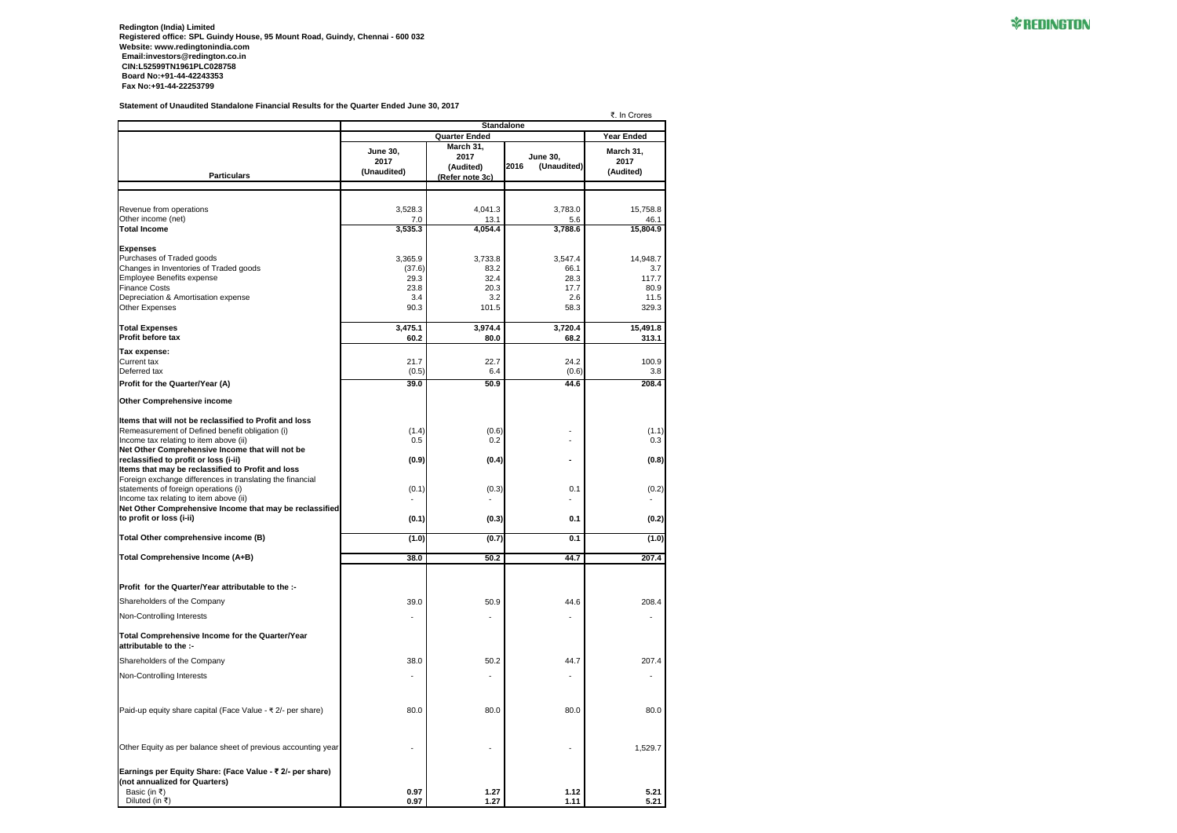**Redington (India) Limited Registered office: SPL Guindy House, 95 Mount Road, Guindy, Chennai - 600 032 Website: www.redingtonindia.com Email:investors@redington.co.in CIN:L52599TN1961PLC028758 Board No:+91-44-42243353 Fax No:+91-44-22253799**

## **Statement of Unaudited Standalone Financial Results for the Quarter Ended June 30, 2017**

₹. In Crores



**Year Ended June 30, 2017 (Unaudited) March 31, 2017 (Audited) (Refer note 3c) June 30, 2016 (Unaudited) March 31, 2017 (Audited)** Revenue from operations 15,758.8 15,758.8 15,758.8 15,758.8 15,758.8 15,758.8 Other income (net) 13.1 5.6 46.1 46.1 5.6 46.1 5.6 46.1 5.6 46.1 5.6 46.1 5.6 46.1 5.6 46.1 5.6 46.1 5.6 46.1 5.804.9 **Total Income 3,535.3 4,054.4 3,788.6 15,804.9 Expenses** Purchases of Traded goods **14,948.7 14,948.7** 3,765.9 3,733.8 3,547.4 14,948.7 Changes in Inventories of Traded goods<br>
Employee Benefits expense and the state of the state of the state of the state of the state of the state of t<br>
Capacity 29.3 32.4 28.3 28.3 28.3 Employee Benefits expense 29.3 32.4 28.3 117.7 Finance Costs 23.8 20.3 17.7 80.9 Pepreciation & Amortisation expense 11.5 3.4 3.2 2.6 2.6 11.5 3.2 2.6 2.9 3.2 2.6 2.9 3.2 2.6 11.5 3.2 329.3 Other Expenses 90.3 | 101.5 | 58.3 | 329.3 **Total Expenses** 15,491.8<br> **Profit before tax** 15,491.8<br> **Profit before tax** 3,374.4 **3,720.4** 15,491.8<br> **Brofit before tax** 313.1 **Profit before tax 60.2 80.0 68.2 313.1 Tax expense:** Current tax 21.7 22.7 24.2 100.9 Deferred tax  $(0.5)$  6.4  $(0.6)$  3.8 **Profit for the Quarter/Year (A)** 39.0 50.9 44.6 208.4 **Other Comprehensive income Items that will not be reclassified to Profit and loss** Remeasurement of Defined benefit obligation (i)  $(1.4)$   $(0.6)$   $(1.1)$   $(0.6)$   $(1.1)$   $(0.6)$   $(1.1)$   $(0.6)$   $(1.1)$   $(0.6)$   $(1.1)$   $(0.6)$   $(1.1)$   $(0.6)$   $(0.6)$   $(1.1)$   $(0.6)$   $(1.1)$   $(0.6)$   $(1.1)$   $(0.6)$   $(1.1)$ Income tax relating to item above (ii)  $\begin{bmatrix} 0.5 \end{bmatrix}$  0.2  $\begin{bmatrix} 0.2 \end{bmatrix}$ **Net Other Comprehensive Income that will not be reclassified to profit or loss (i-ii) (0.9) (0.4) - (0.8) Items that may be reclassified to Profit and loss** Foreign exchange differences in translating the financial statements of foreign operations (i)  $(0.2)$  (0.1)  $(0.3)$  (0.3) 0.1 (0.2) Income tax relating to item above (ii) **Net Other Comprehensive Income that may be reclassified to profit or loss (i-ii) (0.1) (0.3) 0.1 (0.2) Total Other comprehensive income (B)** (1.0) (1.0) (0.7) (0.7) (1.1 (1.0) (1.0) **Total Comprehensive Income (A+B)** 38.0 50.2 44.7 207.4 **Profit for the Quarter/Year attributable to the :-** Shareholders of the Company 208.4 **39.0** 50.9 50.9 44.6 208.4 Non-Controlling Interests and the state of the state of the state of the state of the state of the state of the state of the state of the state of the state of the state of the state of the state of the state of the state **Total Comprehensive Income for the Quarter/Year attributable to the :-** Shareholders of the Company  $\overline{38.0}$  38.0  $\overline{50.2}$   $\overline{44.7}$   $\overline{44.7}$   $\overline{207.4}$ Non-Controlling Interests and the state of the state of the state of the state of the state of the state of the state of the state of the state of the state of the state of the state of the state of the state of the state Paid-up equity share capital (Face Value - ₹ 2/- per share) 80.0 80.0 80.0 80.0 Other Equity as per balance sheet of previous accounting year **1,529.7** and 1,529.7 **Earnings per Equity Share: (Face Value - ₹ 2/- per share) (not annualized for Quarters)** Basic (in ₹) **1.12 1.12 1.27 1.12 1.27 1.12 1.27**  Diluted (in ₹) **0.97 1.27 1.11 5.21 Standalone Particulars Quarter Ended**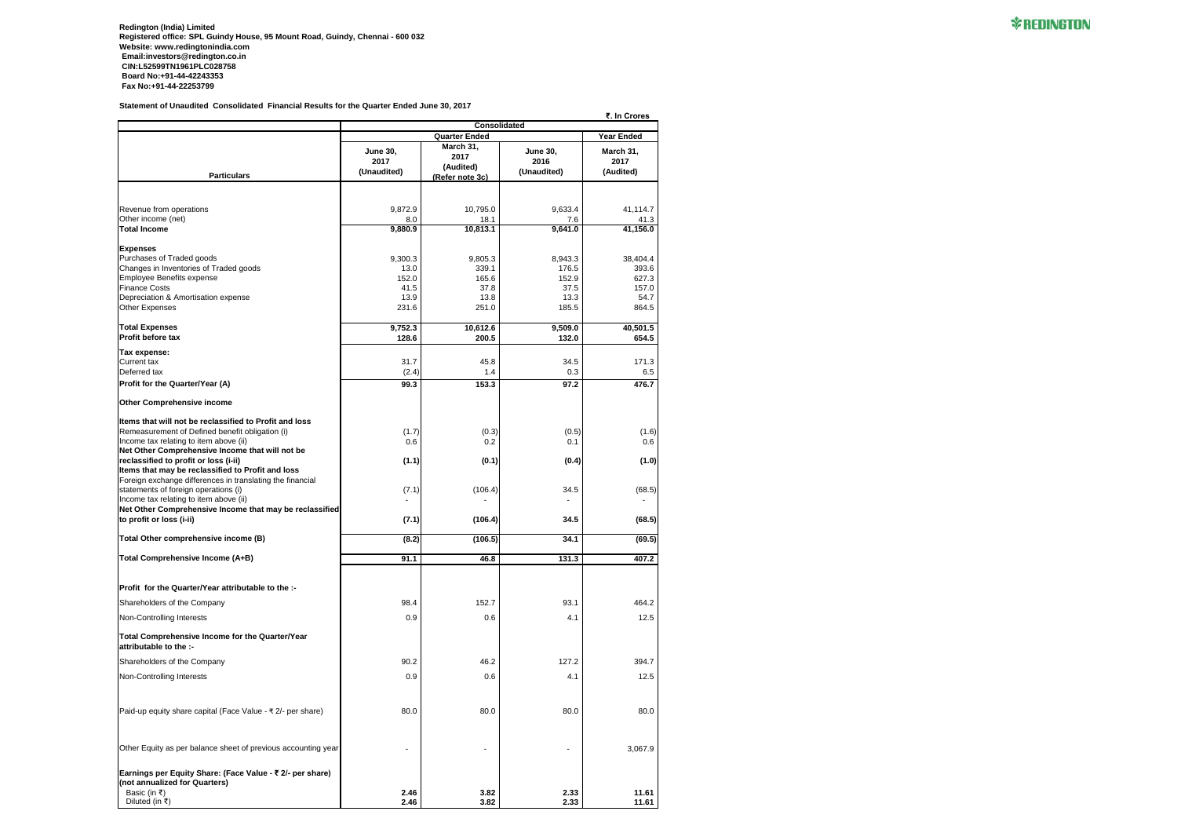**Redington (India) Limited Registered office: SPL Guindy House, 95 Mount Road, Guindy, Chennai - 600 032 Website: www.redingtonindia.com Email:investors@redington.co.in CIN:L52599TN1961PLC028758 Board No:+91-44-42243353 Fax No:+91-44-22253799**

## **Statement of Unaudited Consolidated Financial Results for the Quarter Ended June 30, 2017**

|                                                                                                                | ₹. In Crores                                |                   |                 |               |  |  |
|----------------------------------------------------------------------------------------------------------------|---------------------------------------------|-------------------|-----------------|---------------|--|--|
|                                                                                                                | <b>Consolidated</b><br><b>Quarter Ended</b> |                   |                 |               |  |  |
|                                                                                                                |                                             | <b>Year Ended</b> |                 |               |  |  |
|                                                                                                                | <b>June 30,</b>                             | March 31,<br>2017 | <b>June 30,</b> | March 31,     |  |  |
|                                                                                                                | 2017                                        | (Audited)         | 2016            | 2017          |  |  |
| <b>Particulars</b>                                                                                             | (Unaudited)                                 | (Refer note 3c)   | (Unaudited)     | (Audited)     |  |  |
|                                                                                                                |                                             |                   |                 |               |  |  |
| Revenue from operations                                                                                        | 9,872.9                                     | 10,795.0          | 9,633.4         | 41,114.7      |  |  |
| Other income (net)                                                                                             | 8.0                                         | 18.1              | 7.6             | 41.3          |  |  |
| <b>Total Income</b>                                                                                            | 9,880.9                                     | 10,813.1          | 9,641.0         | 41,156.0      |  |  |
| <b>Expenses</b>                                                                                                |                                             |                   |                 |               |  |  |
| Purchases of Traded goods                                                                                      | 9,300.3                                     | 9,805.3           | 8,943.3         | 38,404.4      |  |  |
| Changes in Inventories of Traded goods                                                                         | 13.0                                        | 339.1             | 176.5           | 393.6         |  |  |
| <b>Employee Benefits expense</b>                                                                               | 152.0                                       | 165.6             | 152.9           | 627.3         |  |  |
| <b>Finance Costs</b>                                                                                           | 41.5                                        | 37.8              | 37.5            | 157.0         |  |  |
| Depreciation & Amortisation expense<br><b>Other Expenses</b>                                                   | 13.9<br>231.6                               | 13.8<br>251.0     | 13.3<br>185.5   | 54.7<br>864.5 |  |  |
|                                                                                                                |                                             |                   |                 |               |  |  |
| <b>Total Expenses</b>                                                                                          | 9,752.3                                     | 10,612.6          | 9,509.0         | 40,501.5      |  |  |
| Profit before tax                                                                                              | 128.6                                       | 200.5             | 132.0           | 654.5         |  |  |
| Tax expense:                                                                                                   |                                             |                   |                 |               |  |  |
| <b>Current tax</b>                                                                                             | 31.7                                        | 45.8              | 34.5            | 171.3         |  |  |
| Deferred tax                                                                                                   | (2.4)                                       | 1.4               | 0.3             | 6.5           |  |  |
| Profit for the Quarter/Year (A)                                                                                | 99.3                                        | 153.3             | 97.2            | 476.7         |  |  |
| <b>Other Comprehensive income</b>                                                                              |                                             |                   |                 |               |  |  |
| Items that will not be reclassified to Profit and loss                                                         |                                             |                   |                 |               |  |  |
| Remeasurement of Defined benefit obligation (i)                                                                | (1.7)                                       | (0.3)             | (0.5)           | (1.6)         |  |  |
| Income tax relating to item above (ii)                                                                         | 0.6                                         | 0.2               | 0.1             | 0.6           |  |  |
| Net Other Comprehensive Income that will not be                                                                |                                             |                   |                 |               |  |  |
| reclassified to profit or loss (i-ii)                                                                          | (1.1)                                       | (0.1)             | (0.4)           | (1.0)         |  |  |
| Items that may be reclassified to Profit and loss<br>Foreign exchange differences in translating the financial |                                             |                   |                 |               |  |  |
| statements of foreign operations (i)                                                                           | (7.1)                                       | (106.4)           | 34.5            | (68.5)        |  |  |
| Income tax relating to item above (ii)                                                                         |                                             |                   |                 |               |  |  |
| Net Other Comprehensive Income that may be reclassified                                                        |                                             |                   |                 |               |  |  |
| to profit or loss (i-ii)                                                                                       | (7.1)                                       | (106.4)           | 34.5            | (68.5)        |  |  |
| Total Other comprehensive income (B)                                                                           | (8.2)                                       | (106.5)           | 34.1            | (69.5)        |  |  |
| Total Comprehensive Income (A+B)                                                                               | 91.1                                        | 46.8              | 131.3           | 407.2         |  |  |
|                                                                                                                |                                             |                   |                 |               |  |  |
| Profit for the Quarter/Year attributable to the :-                                                             |                                             |                   |                 |               |  |  |
| Shareholders of the Company                                                                                    | 98.4                                        | 152.7             | 93.1            | 464.2         |  |  |
| Non-Controlling Interests                                                                                      | 0.9                                         | 0.6               | 4.1             | 12.5          |  |  |
| Total Comprehensive Income for the Quarter/Year<br>attributable to the :-                                      |                                             |                   |                 |               |  |  |
| Shareholders of the Company                                                                                    | 90.2                                        | 46.2              | 127.2           | 394.7         |  |  |
| Non-Controlling Interests                                                                                      | 0.9                                         | 0.6               | 4.1             | 12.5          |  |  |
|                                                                                                                |                                             |                   |                 |               |  |  |
| Paid-up equity share capital (Face Value - ₹ 2/- per share)                                                    | 80.0                                        | 80.0              | 80.0            | 80.0          |  |  |
| Other Equity as per balance sheet of previous accounting year                                                  |                                             |                   |                 | 3,067.9       |  |  |
| Earnings per Equity Share: (Face Value - ₹ 2/- per share)<br>(not annualized for Quarters)<br>Basic (in ₹)     | 2.46                                        | 3.82              | 2.33            | 11.61         |  |  |
| Diluted (in ₹)                                                                                                 | 2.46                                        | 3.82              | 2.33            | 11.61         |  |  |